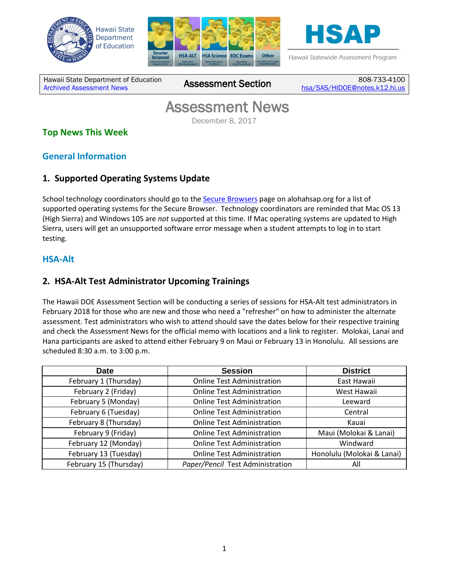





Hawaii Statewide Assessment Program

Hawaii State Department of Education Hawaii State Department of Education 808-733-4100<br>[Archived Assessment News](http://alohahsap.org/SMARTERBALANCED/resources/?section=91) **Assessment Section** <sub>[hsa/SAS/HIDOE@notes.k12.hi.us](mailto:hsa/SAS/HIDOE@notes.k12.hi.us)</sub>

## Assessment News<br>December 8, 2017

## **Top News This Week**

## **General Information**

## **1. Supported Operating Systems Update**

School technology coordinators should go to the [Secure Browsers](http://alohahsap.org/HSA/browsers/) page on alohahsap.org for a list of supported operating systems for the Secure Browser. Technology coordinators are reminded that Mac OS 13 (High Sierra) and Windows 10S are *not* supported at this time. If Mac operating systems are updated to High Sierra, users will get an unsupported software error message when a student attempts to log in to start testing.

#### **HSA-Alt**

## **2. HSA-Alt Test Administrator Upcoming Trainings**

The Hawaii DOE Assessment Section will be conducting a series of sessions for HSA-Alt test administrators in February 2018 for those who are new and those who need a "refresher" on how to administer the alternate assessment. Test administrators who wish to attend should save the dates below for their respective training and check the Assessment News for the official memo with locations and a link to register. Molokai, Lanai and Hana participants are asked to attend either February 9 on Maui or February 13 in Honolulu. All sessions are scheduled 8:30 a.m. to 3:00 p.m.

| <b>Date</b>            | <b>Session</b>                    | <b>District</b>            |
|------------------------|-----------------------------------|----------------------------|
| February 1 (Thursday)  | <b>Online Test Administration</b> | East Hawaii                |
| February 2 (Friday)    | <b>Online Test Administration</b> | West Hawaii                |
| February 5 (Monday)    | <b>Online Test Administration</b> | Leeward                    |
| February 6 (Tuesday)   | <b>Online Test Administration</b> | Central                    |
| February 8 (Thursday)  | <b>Online Test Administration</b> | Kauai                      |
| February 9 (Friday)    | <b>Online Test Administration</b> | Maui (Molokai & Lanai)     |
| February 12 (Monday)   | <b>Online Test Administration</b> | Windward                   |
| February 13 (Tuesday)  | <b>Online Test Administration</b> | Honolulu (Molokai & Lanai) |
| February 15 (Thursday) | Paper/Pencil Test Administration  | All                        |